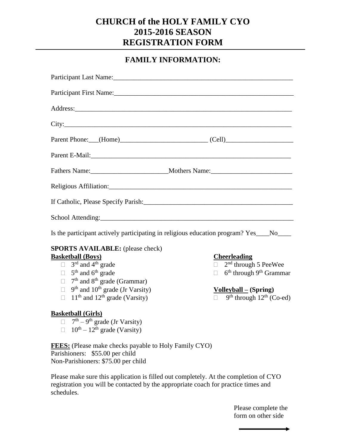## **CHURCH of the HOLY FAMILY CYO 2015-2016 SEASON REGISTRATION FORM**

## **FAMILY INFORMATION:**

| Address: <u>and the same of the same of the same of the same of the same of the same of the same of the same of the same of the same of the same of the same of the same of the same of the same of the same of the same of the </u> |                                                           |  |  |  |
|--------------------------------------------------------------------------------------------------------------------------------------------------------------------------------------------------------------------------------------|-----------------------------------------------------------|--|--|--|
|                                                                                                                                                                                                                                      |                                                           |  |  |  |
|                                                                                                                                                                                                                                      | Parent Phone: (Home) (Cell)                               |  |  |  |
|                                                                                                                                                                                                                                      |                                                           |  |  |  |
|                                                                                                                                                                                                                                      |                                                           |  |  |  |
|                                                                                                                                                                                                                                      |                                                           |  |  |  |
|                                                                                                                                                                                                                                      |                                                           |  |  |  |
|                                                                                                                                                                                                                                      |                                                           |  |  |  |
| Is the participant actively participating in religious education program? Yes___No___                                                                                                                                                |                                                           |  |  |  |
| <b>SPORTS AVAILABLE:</b> (please check)                                                                                                                                                                                              |                                                           |  |  |  |
| <b>Basketball (Boys)</b>                                                                                                                                                                                                             | <b>Cheerleading</b>                                       |  |  |  |
| $\Box$ 3 <sup>rd</sup> and 4 <sup>th</sup> grade                                                                                                                                                                                     | $\Box$ 2 <sup>nd</sup> through 5 PeeWee                   |  |  |  |
| $\Box$ 5 <sup>th</sup> and 6 <sup>th</sup> grade                                                                                                                                                                                     | 6 <sup>th</sup> through 9 <sup>th</sup> Grammar<br>$\Box$ |  |  |  |
| $7th$ and $8th$ grade (Grammar)<br>П.                                                                                                                                                                                                |                                                           |  |  |  |
| $9th$ and $10th$ grade (Jr Varsity)<br>$\Box$                                                                                                                                                                                        | $Volleyball – (Spring)$                                   |  |  |  |
| $11th$ and $12th$ grade (Varsity)<br>П                                                                                                                                                                                               | $9th$ through $12th$ (Co-ed)                              |  |  |  |
| <b>Basketball (Girls)</b>                                                                                                                                                                                                            |                                                           |  |  |  |
| $\Box$ 7 <sup>th</sup> – 9 <sup>th</sup> grade (Jr Varsity)                                                                                                                                                                          |                                                           |  |  |  |
| $\Box$ 10 <sup>th</sup> – 12 <sup>th</sup> grade (Varsity)                                                                                                                                                                           |                                                           |  |  |  |
| <b>FEES:</b> (Please make checks payable to Holy Family CYO)                                                                                                                                                                         |                                                           |  |  |  |
| Parishioners: \$55.00 per child                                                                                                                                                                                                      |                                                           |  |  |  |

Non-Parishioners: \$75.00 per child

Please make sure this application is filled out completely. At the completion of CYO registration you will be contacted by the appropriate coach for practice times and schedules.

> Please complete the form on other side